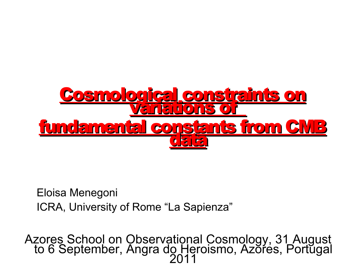

Eloisa Menegoni ICRA, University of Rome "La Sapienza"

Azores School on Observational Cosmology, 31 August to 6 September, Angra do Heroismo, Azores, Portugal 2011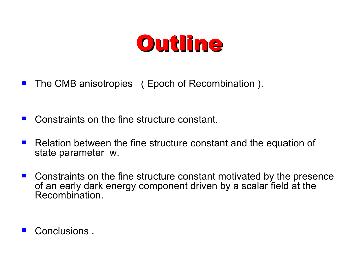

- The CMB anisotropies (Epoch of Recombination).
- Constraints on the fine structure constant.
- Relation between the fine structure constant and the equation of state parameter w.
- Constraints on the fine structure constant motivated by the presence of an early dark energy component driven by a scalar field at the Recombination.
- **Conclusions**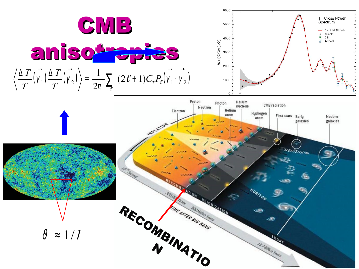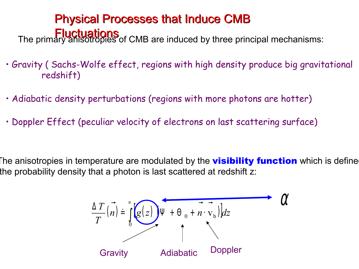### Physical Processes that Induce CMB Fluctuations<br>The primary anisotropies of CMB are induced by three principal mechanisms:

- Gravity ( Sachs-Wolfe effect, regions with high density produce big gravitational redshift)
- Adiabatic density perturbations (regions with more photons are hotter)
- Doppler Effect (peculiar velocity of electrons on last scattering surface)

The anisotropies in temperature are modulated by the **visibility function** which is define the probability density that a photon is last scattered at redshift z:

$$
\frac{\Delta T}{T}(\vec{n}) = \int_{0}^{\infty} g(z) \Psi + \Theta_0 + \vec{n} \cdot \nabla_b \, dz
$$
\n  
\n**Gravity** Adiabatic Doppler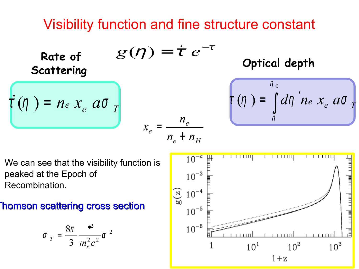### Visibility function and fine structure constant

 $n_e$  +  $n_H$ 

*e n*

Rate of 
$$
g(\eta) = \dot{\tau} e^{-\tau}
$$
 Optical depth  
Scattering

 $x_e$ 

=

$$
\int_{\eta}^{\eta}(\eta) = \int_{\eta}^{\eta_0} d\eta \text{ i } n \text{ e } x_e \text{ a } \sigma
$$

We can see that the visibility function is peaked at the Epoch of Recombination.

 $\vec{r}$  ( $\eta$ ) = *ne*  $x_e$  *a* $\sigma$ <sub>*T*</sub>

**Rate of** 

#### **Thomson scattering cross section**

$$
\sigma_T = \frac{8\pi}{3} \frac{e^2}{m_e^2 c^2} \alpha^2
$$

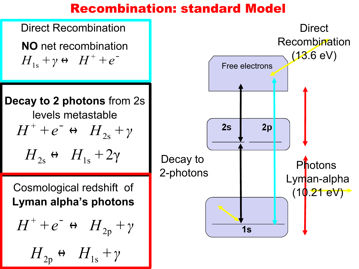#### Recombination: standard Model

Direct Recombination **NO** net recombination  $H_{1s} + \gamma \leftrightarrow H^+ + e^-$ 1s

**Decay to 2 photons** from 2s levels metastable  $H_{2s}$  ↔  $H_{1s}$  + 2γ  $H^{+} + e^{-} \leftrightarrow H_{2\text{s}} + \gamma$ 

Cosmological redshift of **Lyman alpha's photons**

$$
H^{+} + e^{-} \leftrightarrow H_{2p} + \gamma
$$

$$
H_{2p} \leftrightarrow H_{1s} + \gamma
$$

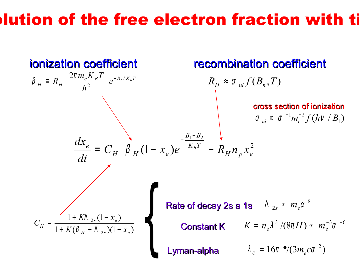### Iution of the free electron fraction with time

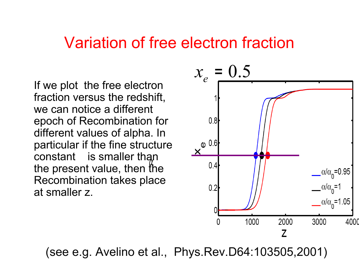#### Variation of free electron fraction

If we plot the free electron fraction versus the redshift, we can notice a different epoch of Recombination for different values of alpha. In particular if the fine structure constant is smaller than the present value, then the Recombination takes place at smaller z.



(see e.g. Avelino et al., Phys.Rev.D64:103505,2001)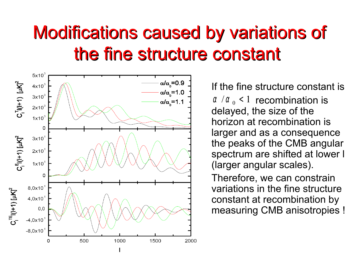### Modifications caused by variations of the fine structure constant



If the fine structure constant is  $\alpha$  / $\alpha$ <sub>0</sub> < 1 recombination is delayed, the size of the horizon at recombination is larger and as a consequence the peaks of the CMB angular spectrum are shifted at lower l (larger angular scales).

Therefore, we can constrain variations in the fine structure constant at recombination by measuring CMB anisotropies !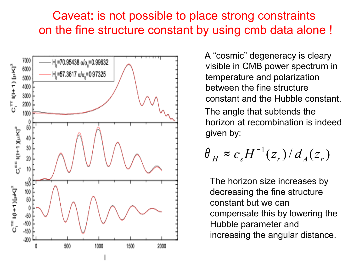#### Caveat: is not possible to place strong constraints on the fine structure constant by using cmb data alone !



 A "cosmic" degeneracy is cleary visible in CMB power spectrum in temperature and polarization between the fine structure constant and the Hubble constant.

 The angle that subtends the horizon at recombination is indeed given by:

$$
\theta_H \approx c_s H^{-1}(z_r) / d_A(z_r)
$$

The horizon size increases by decreasing the fine structure constant but we can compensate this by lowering the Hubble parameter and increasing the angular distance.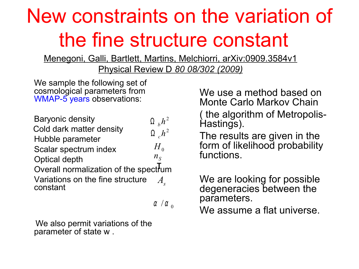### New constraints on the variation of the fine structure constant

Menegoni, Galli, Bartlett, Martins, Melchiorri, arXiv:0909.3584v1

Physical Review D *80 08/302 (2009)*

We sample the following set of cosmological parameters from WMAP-5 years observations:

| <b>Baryonic density</b>                      | $\Omega_h h^2$              |
|----------------------------------------------|-----------------------------|
| Cold dark matter density                     | $\Omega$ <sub>c</sub> $h^2$ |
| Hubble parameter                             |                             |
| Scalar spectrum index                        | $H_{0}$                     |
| <b>Optical depth</b>                         | $n_{\rm s}$                 |
| Overall normalization of the spectrum        |                             |
| Variations on the fine structure<br>constant |                             |

 $\alpha$  /  $\alpha$  <sub>0</sub>

 We also permit variations of the parameter of state w .

We use a method based on Monte Carlo Markov Chain ( the algorithm of Metropolis-Hastings).

The results are given in the form of likelihood probability functions.

We are looking for possible degeneracies between the parameters.

We assume a flat universe.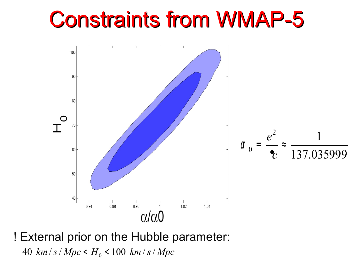



40  $km/s/Mpc < H_0 < 100 km/s/Mpc$ ! External prior on the Hubble parameter: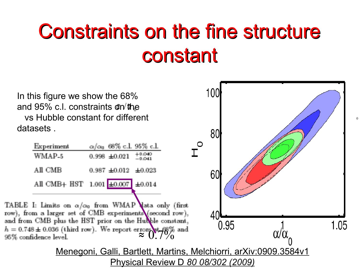## Constraints on the fine structure constant

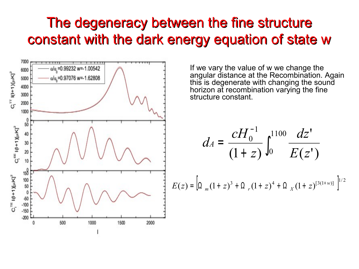#### The degeneracy between the fine structure constant with the dark energy equation of state w



 If we vary the value of w we change the angular distance at the Recombination. Again this is degenerate with changing the sound horizon at recombination varying the fine structure constant.

$$
d_A = \frac{cH_0^{-1}}{(1+z)} \int_0^{1100} \frac{dz'}{E(z')}
$$

$$
E(z) = \left[ \Omega_m (1+z)^3 + \Omega_r (1+z)^4 + \Omega_x (1+z)^{[3(1+w)]} \right]^{1/2}
$$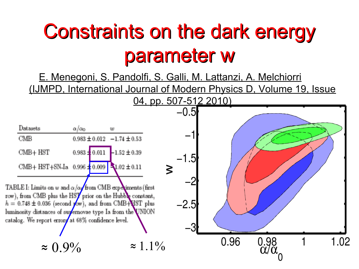## Constraints on the dark energy parameter w

E. Menegoni, S. Pandolfi, S. Galli, M. Lattanzi, A. Melchiorri (IJMPD, International Journal of Modern Physics D, Volume 19, Issue

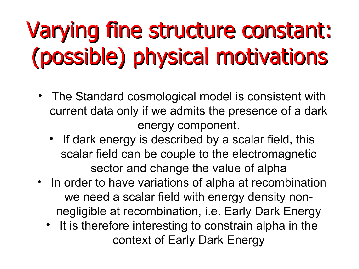# Varying fine structure constant: (possible) physical motivations

- The Standard cosmological model is consistent with current data only if we admits the presence of a dark energy component.
	- If dark energy is described by a scalar field, this scalar field can be couple to the electromagnetic sector and change the value of alpha
- In order to have variations of alpha at recombination we need a scalar field with energy density nonnegligible at recombination, i.e. Early Dark Energy
	- It is therefore interesting to constrain alpha in the context of Early Dark Energy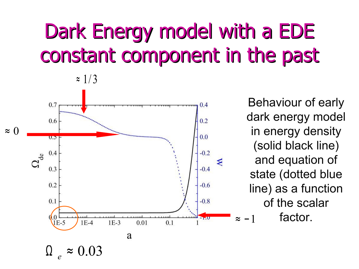## Dark Energy model with a EDE constant component in the past



 $\approx 1/3$ 

Behaviour of early dark energy model in energy density (solid black line) and equation of state (dotted blue line) as a function of the scalar factor.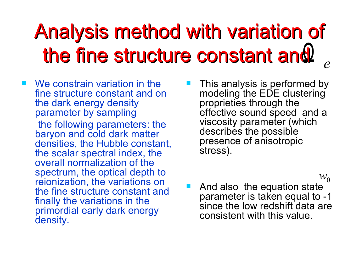# Analysis method with variation of the fine structure constant and  $_{e}$

- We constrain variation in the fine structure constant and on the dark energy density parameter by sampling the following parameters: the baryon and cold dark matter densities, the Hubble constant, the scalar spectral index, the overall normalization of the spectrum, the optical depth to reionization, the variations on the fine structure constant and finally the variations in the primordial early dark energy density.
- This analysis is performed by modeling the EDE clustering proprieties through the effective sound speed and a viscosity parameter (which describes the possible presence of anisotropic stress).

 $W_0$ 

 And also the equation state parameter is taken equal to -1 since the low redshift data are consistent with this value.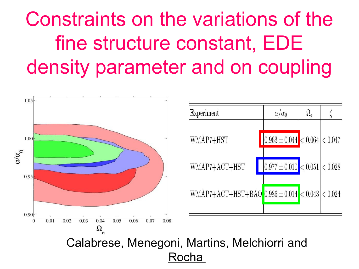## Constraints on the variations of the fine structure constant, EDE density parameter and on coupling